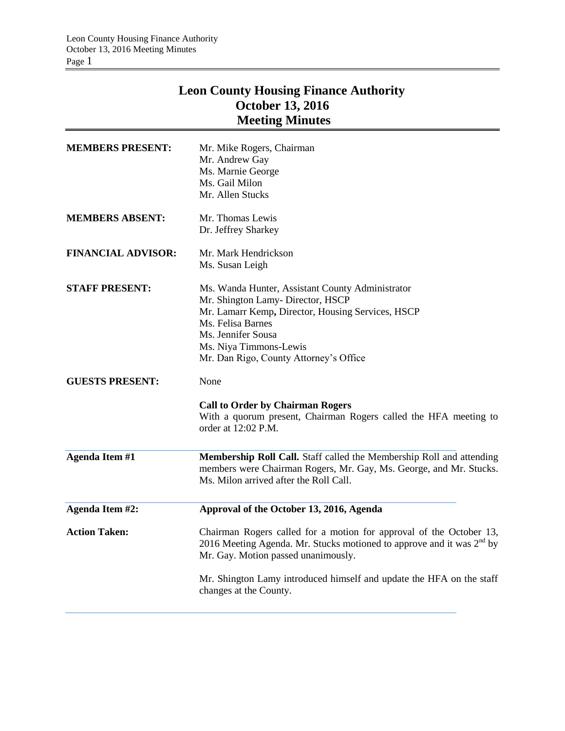# **Leon County Housing Finance Authority October 13, 2016 Meeting Minutes**

| <b>MEMBERS PRESENT:</b>   | Mr. Mike Rogers, Chairman<br>Mr. Andrew Gay<br>Ms. Marnie George<br>Ms. Gail Milon<br>Mr. Allen Stucks                                                                                                                                                                                     |
|---------------------------|--------------------------------------------------------------------------------------------------------------------------------------------------------------------------------------------------------------------------------------------------------------------------------------------|
| <b>MEMBERS ABSENT:</b>    | Mr. Thomas Lewis<br>Dr. Jeffrey Sharkey                                                                                                                                                                                                                                                    |
| <b>FINANCIAL ADVISOR:</b> | Mr. Mark Hendrickson<br>Ms. Susan Leigh                                                                                                                                                                                                                                                    |
| <b>STAFF PRESENT:</b>     | Ms. Wanda Hunter, Assistant County Administrator<br>Mr. Shington Lamy- Director, HSCP<br>Mr. Lamarr Kemp, Director, Housing Services, HSCP<br>Ms. Felisa Barnes<br>Ms. Jennifer Sousa<br>Ms. Niya Timmons-Lewis<br>Mr. Dan Rigo, County Attorney's Office                                  |
| <b>GUESTS PRESENT:</b>    | None<br><b>Call to Order by Chairman Rogers</b><br>With a quorum present, Chairman Rogers called the HFA meeting to<br>order at 12:02 P.M.                                                                                                                                                 |
| <b>Agenda Item #1</b>     | Membership Roll Call. Staff called the Membership Roll and attending<br>members were Chairman Rogers, Mr. Gay, Ms. George, and Mr. Stucks.<br>Ms. Milon arrived after the Roll Call.                                                                                                       |
| Agenda Item #2:           | Approval of the October 13, 2016, Agenda                                                                                                                                                                                                                                                   |
| <b>Action Taken:</b>      | Chairman Rogers called for a motion for approval of the October 13,<br>2016 Meeting Agenda. Mr. Stucks motioned to approve and it was $2^{nd}$ by<br>Mr. Gay. Motion passed unanimously.<br>Mr. Shington Lamy introduced himself and update the HFA on the staff<br>changes at the County. |
|                           |                                                                                                                                                                                                                                                                                            |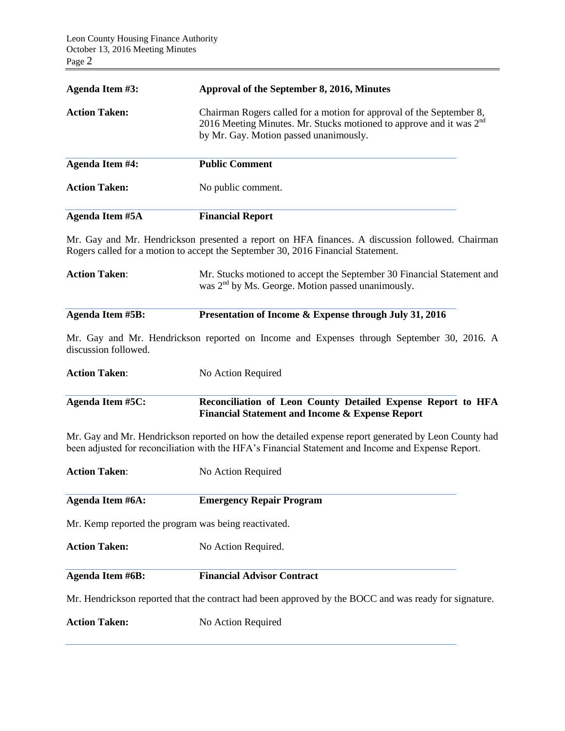| <b>Agenda Item #3:</b>                                                                                | Approval of the September 8, 2016, Minutes                                                                                                                                                                 |  |
|-------------------------------------------------------------------------------------------------------|------------------------------------------------------------------------------------------------------------------------------------------------------------------------------------------------------------|--|
| <b>Action Taken:</b>                                                                                  | Chairman Rogers called for a motion for approval of the September 8,<br>2016 Meeting Minutes. Mr. Stucks motioned to approve and it was $2^{nd}$<br>by Mr. Gay. Motion passed unanimously.                 |  |
| <b>Agenda Item #4:</b>                                                                                | <b>Public Comment</b>                                                                                                                                                                                      |  |
| <b>Action Taken:</b>                                                                                  | No public comment.                                                                                                                                                                                         |  |
| <b>Agenda Item #5A</b>                                                                                | <b>Financial Report</b>                                                                                                                                                                                    |  |
|                                                                                                       | Mr. Gay and Mr. Hendrickson presented a report on HFA finances. A discussion followed. Chairman<br>Rogers called for a motion to accept the September 30, 2016 Financial Statement.                        |  |
| <b>Action Taken:</b>                                                                                  | Mr. Stucks motioned to accept the September 30 Financial Statement and<br>was 2 <sup>nd</sup> by Ms. George. Motion passed unanimously.                                                                    |  |
| <b>Agenda Item #5B:</b>                                                                               | Presentation of Income & Expense through July 31, 2016                                                                                                                                                     |  |
| discussion followed.                                                                                  | Mr. Gay and Mr. Hendrickson reported on Income and Expenses through September 30, 2016. A                                                                                                                  |  |
| <b>Action Taken:</b>                                                                                  | No Action Required                                                                                                                                                                                         |  |
| <b>Agenda Item #5C:</b>                                                                               | Reconciliation of Leon County Detailed Expense Report to HFA<br><b>Financial Statement and Income &amp; Expense Report</b>                                                                                 |  |
|                                                                                                       | Mr. Gay and Mr. Hendrickson reported on how the detailed expense report generated by Leon County had<br>been adjusted for reconciliation with the HFA's Financial Statement and Income and Expense Report. |  |
| <b>Action Taken:</b>                                                                                  | No Action Required                                                                                                                                                                                         |  |
| Agenda Item #6A:                                                                                      | <b>Emergency Repair Program</b>                                                                                                                                                                            |  |
| Mr. Kemp reported the program was being reactivated.                                                  |                                                                                                                                                                                                            |  |
| <b>Action Taken:</b>                                                                                  | No Action Required.                                                                                                                                                                                        |  |
| <b>Agenda Item #6B:</b>                                                                               | <b>Financial Advisor Contract</b>                                                                                                                                                                          |  |
| Mr. Hendrickson reported that the contract had been approved by the BOCC and was ready for signature. |                                                                                                                                                                                                            |  |
| <b>Action Taken:</b>                                                                                  | No Action Required                                                                                                                                                                                         |  |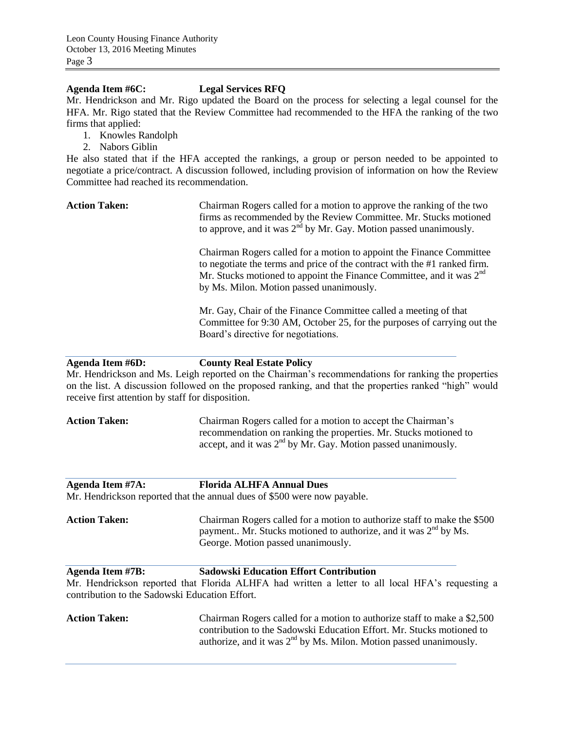## **Agenda Item #6C: Legal Services RFQ**

Mr. Hendrickson and Mr. Rigo updated the Board on the process for selecting a legal counsel for the HFA. Mr. Rigo stated that the Review Committee had recommended to the HFA the ranking of the two firms that applied:

- 1. Knowles Randolph
- 2. Nabors Giblin

He also stated that if the HFA accepted the rankings, a group or person needed to be appointed to negotiate a price/contract. A discussion followed, including provision of information on how the Review Committee had reached its recommendation.

Action Taken: Chairman Rogers called for a motion to approve the ranking of the two firms as recommended by the Review Committee. Mr. Stucks motioned to approve, and it was  $2<sup>nd</sup>$  by Mr. Gay. Motion passed unanimously.

> Chairman Rogers called for a motion to appoint the Finance Committee to negotiate the terms and price of the contract with the #1 ranked firm. Mr. Stucks motioned to appoint the Finance Committee, and it was  $2<sup>nd</sup>$ by Ms. Milon. Motion passed unanimously.

Mr. Gay, Chair of the Finance Committee called a meeting of that Committee for 9:30 AM, October 25, for the purposes of carrying out the Board's directive for negotiations.

**Agenda Item #6D: County Real Estate Policy**

Mr. Hendrickson and Ms. Leigh reported on the Chairman's recommendations for ranking the properties on the list. A discussion followed on the proposed ranking, and that the properties ranked "high" would receive first attention by staff for disposition.

**Action Taken:** Chairman Rogers called for a motion to accept the Chairman's recommendation on ranking the properties. Mr. Stucks motioned to accept, and it was  $2<sup>nd</sup>$  by Mr. Gay. Motion passed unanimously.

# **Agenda Item #7A: Florida ALHFA Annual Dues**

Mr. Hendrickson reported that the annual dues of \$500 were now payable.

**Action Taken:** Chairman Rogers called for a motion to authorize staff to make the \$500 payment.. Mr. Stucks motioned to authorize, and it was  $2<sup>nd</sup>$  by Ms. George. Motion passed unanimously.

# **Agenda Item #7B: Sadowski Education Effort Contribution** Mr. Hendrickson reported that Florida ALHFA had written a letter to all local HFA's requesting a contribution to the Sadowski Education Effort.

**Action Taken:** Chairman Rogers called for a motion to authorize staff to make a \$2,500 contribution to the Sadowski Education Effort. Mr. Stucks motioned to authorize, and it was  $2<sup>nd</sup>$  by Ms. Milon. Motion passed unanimously.